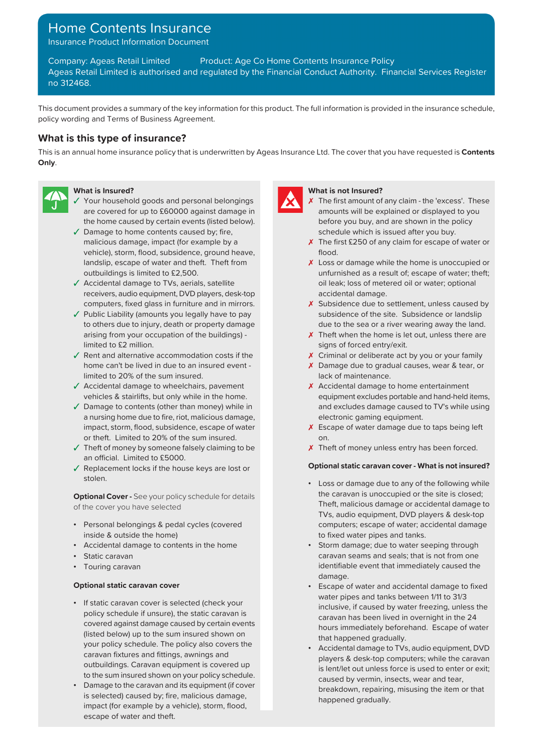# Home Contents Insurance

Insurance Product Information Document

Company: Ageas Retail Limited Product: Age Co Home Contents Insurance Policy Ageas Retail Limited is authorised and regulated by the Financial Conduct Authority. Financial Services Register no 312468.

This document provides a summary of the key information for this product. The full information is provided in the insurance schedule, policy wording and Terms of Business Agreement.

# **What is this type of insurance?**

This is an annual home insurance policy that is underwritten by Ageas Insurance Ltd. The cover that you have requested is **Contents Only**.



- ✓ Your household goods and personal belongings ✗ are covered for up to £60000 against damage in the home caused by certain events (listed below).
- ✓ Damage to home contents caused by; fire, schedule which is issued after you buy. malicious damage, impact (for example by a  $\overline{X}$  The first £250 of any claim for escape of water or vehicle), storm, flood, subsidence, ground heave, flood. landslip, escape of water and theft. Theft from outbuildings is limited to £2,500.
- ✓ Accidental damage to TVs, aerials, satellite receivers, audio equipment, DVD players, desk-top
- ✓ Public Liability (amounts you legally have to pay to others due to injury, death or property damage arising from your occupation of the buildings) limited to £2 million.
- $\sqrt{\ }$  Rent and alternative accommodation costs if the home can't be lived in due to an insured event limited to 20% of the sum insured.
- ✓ Accidental damage to wheelchairs, pavement vehicles & stairlifts, but only while in the home.
- ✓ Damage to contents (other than money) while in a nursing home due to fire, riot, malicious damage, impact, storm, flood, subsidence, escape of water or theft. Limited to 20% of the sum insured.
- ✓ Theft of money by someone falsely claiming to be an official. Limited to £5000.
- stolen.

of the cover you have selected Theft, malicious damage or accidental damage to

- Personal belongings & pedal cycles (covered inside & outside the home)
- 
- 
- Touring caravan

- If static caravan cover is selected (check your policy schedule if unsure), the static caravan is (listed below) up to the sum insured shown on that happened gradually. your policy schedule. The policy also covers the outbuildings. Caravan equipment is covered up to the sum insured shown on your policy schedule.
- Damage to the caravan and its equipment (if cover is selected) caused by; fire, malicious damage, impact (for example by a vehicle), storm, flood, escape of water and theft.



# **What is Insured? What is not Insured?**

- $\chi$  The first amount of any claim the 'excess'. These amounts will be explained or displayed to you before you buy, and are shown in the policy
- 
- X Loss or damage while the home is unoccupied or unfurnished as a result of; escape of water; theft; oil leak; loss of metered oil or water; optional accidental damage.
- computers, fixed glass in furniture and in mirrors.  $\boldsymbol{\chi}$  Subsidence due to settlement, unless caused by subsidence of the site. Subsidence or landslip due to the sea or a river wearing away the land.
	- X Theft when the home is let out, unless there are signs of forced entry/exit.
	- X Criminal or deliberate act by you or your family
	- ✗ Damage due to gradual causes, wear & tear, or lack of maintenance.
	- X Accidental damage to home entertainment equipment excludes portable and hand-held items, and excludes damage caused to TV's while using electronic gaming equipment.
	- ✗ Escape of water damage due to taps being left on.
	- X Theft of money unless entry has been forced.

# ✓ **Optional static caravan cover - What is not insured?** Replacement locks if the house keys are lost or

- Loss or damage due to any of the following while **Optional Cover -** See your policy schedule for details **the caravan is unoccupied or the site is closed;** TVs, audio equipment, DVD players & desk-top computers; escape of water; accidental damage to fixed water pipes and tanks.
- Accidental damage to contents in the home Storm damage; due to water seeping through • Static caravan caravan seams and seals; that is not from one identifiable event that immediately caused the damage.
- **Optional static caravan cover Escape of water and accidental damage to fixed** water pipes and tanks between 1/11 to 31/3 inclusive, if caused by water freezing, unless the caravan has been lived in overnight in the 24 covered against damage caused by certain events hours immediately beforehand. Escape of water
	- Accidental damage to TVs, audio equipment, DVD players & desk-top computers; while the caravan fixtures and fittings, awnings and response to the players & desk-top computers; while the caravan is lent/let out unless force is used to enter or exit; caused by vermin, insects, wear and tear, breakdown, repairing, misusing the item or that happened gradually.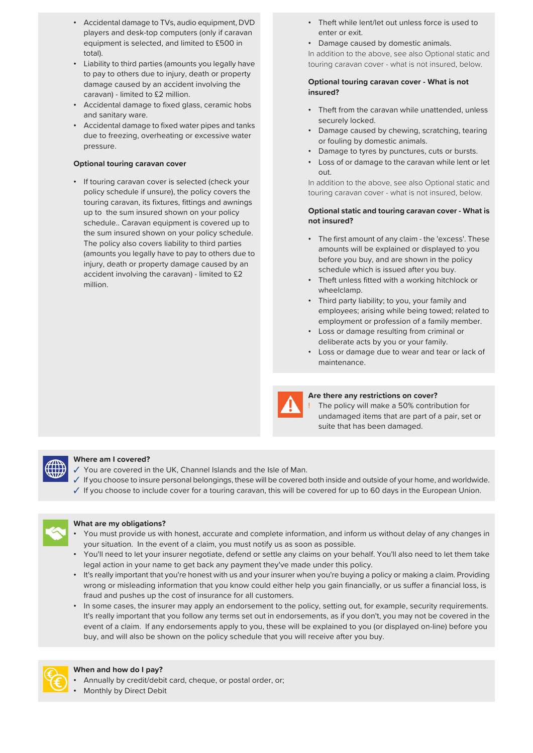- Accidental damage to TVs, audio equipment, DVD players and desk-top computers (only if caravan equipment is selected, and limited to £500 in total).
- Liability to third parties (amounts you legally have touring caravan cover what is not insured, below. to pay to others due to injury, death or property damage caused by an accident involving the caravan) - limited to £2 million.
- Accidental damage to fixed glass, ceramic hobs
- Accidental damage to fixed water pipes and tanks due to freezing, overheating or excessive water pressure.

• If touring caravan cover is selected (check your policy schedule if unsure), the policy covers the touring caravan, its fixtures, fittings and awnings up to the sum insured shown on your policy schedule.. Caravan equipment is covered up to the sum insured shown on your policy schedule. The policy also covers liability to third parties (amounts you legally have to pay to others due to injury, death or property damage caused by an accident involving the caravan) - limited to £2 million. • Theft unless fitted with a working hitchlock or million

- Theft while lent/let out unless force is used to enter or exit.
- Damage caused by domestic animals.

In addition to the above, see also Optional static and

# **Optional touring caravan cover - What is not insured?**

- Accidental daniage to lixed glass, ceranic hobs Theft from the caravan while unattended, unless and sanitary ware. securely locked.
	- Damage caused by chewing, scratching, tearing or fouling by domestic animals.
	- Damage to tyres by punctures, cuts or bursts.
- **Optional touring caravan cover Loss of or damage to the caravan while lent or let** out.

In addition to the above, see also Optional static and touring caravan cover - what is not insured, below.

# **Optional static and touring caravan cover - What is not insured?**

- The first amount of any claim the 'excess'. These amounts will be explained or displayed to you before you buy, and are shown in the policy schedule which is issued after you buy.
- wheelclamp.
- Third party liability; to you, your family and employees; arising while being towed; related to employment or profession of a family member.
- Loss or damage resulting from criminal or deliberate acts by you or your family.
- Loss or damage due to wear and tear or lack of maintenance.



## **Are there any restrictions on cover?**

The policy will make a 50% contribution for undamaged items that are part of a pair, set or suite that has been damaged.



### **Where am I covered?**

- You are covered in the UK, Channel Islands and the Isle of Man.
- ✓ If you choose to insure personal belongings, these will be covered both inside and outside of your home, and worldwide.
- ✓ If you choose to include cover for a touring caravan, this will be covered for up to 60 days in the European Union.



### **What are my obligations?**

- You must provide us with honest, accurate and complete information, and inform us without delay of any changes in your situation. In the event of a claim, you must notify us as soon as possible.
- You'll need to let your insurer negotiate, defend or settle any claims on your behalf. You'll also need to let them take legal action in your name to get back any payment they've made under this policy.
- It's really important that you're honest with us and your insurer when you're buying a policy or making a claim. Providing wrong or misleading information that you know could either help you gain financially, or us suffer a financial loss, is fraud and pushes up the cost of insurance for all customers.
- In some cases, the insurer may apply an endorsement to the policy, setting out, for example, security requirements. It's really important that you follow any terms set out in endorsements, as if you don't, you may not be covered in the event of a claim. If any endorsements apply to you, these will be explained to you (or displayed on-line) before you buy, and will also be shown on the policy schedule that you will receive after you buy.



### **When and how do I pay?**

- Annually by credit/debit card, cheque, or postal order, or;
- Monthly by Direct Debit